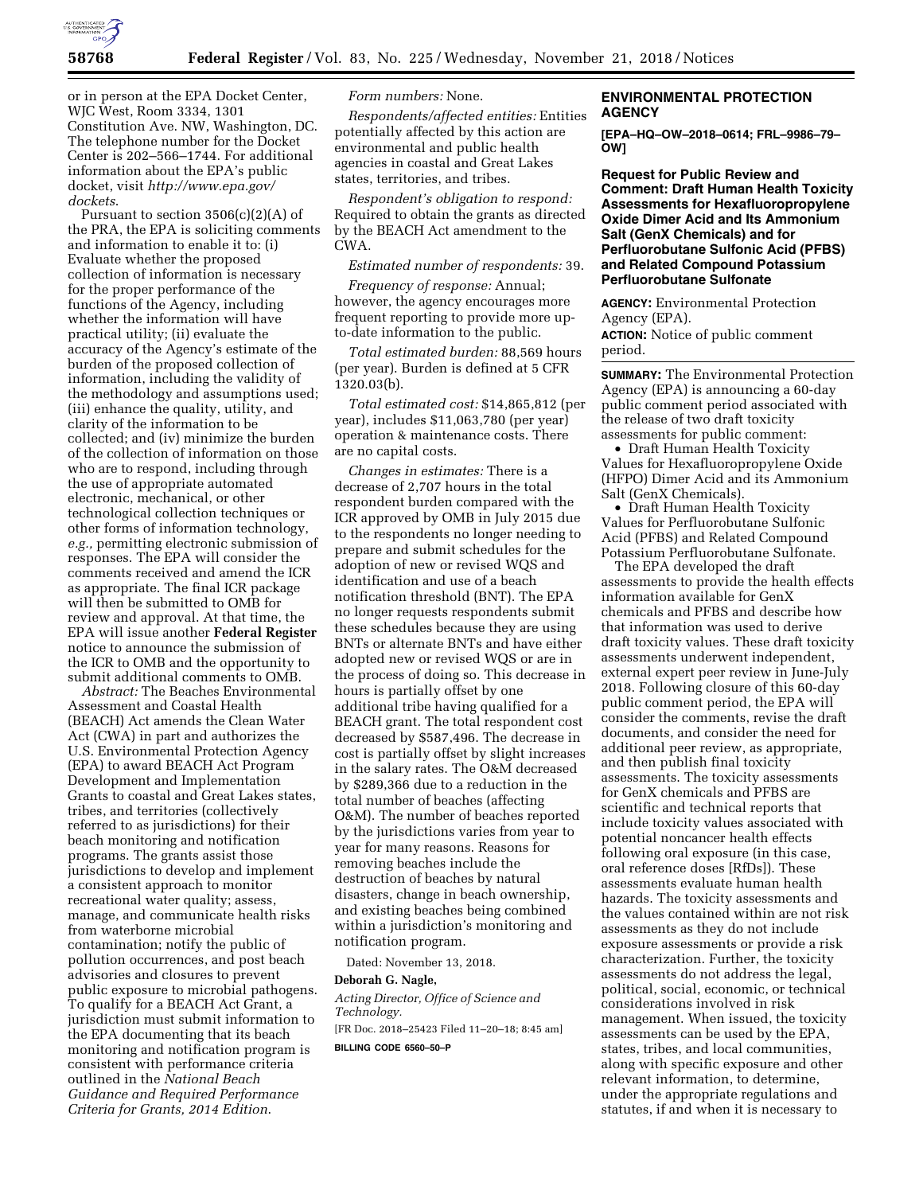

or in person at the EPA Docket Center, WJC West, Room 3334, 1301 Constitution Ave. NW, Washington, DC. The telephone number for the Docket Center is 202–566–1744. For additional information about the EPA's public docket, visit *[http://www.epa.gov/](http://www.epa.gov/dockets)  [dockets](http://www.epa.gov/dockets)*.

Pursuant to section  $3506(c)(2)(A)$  of the PRA, the EPA is soliciting comments and information to enable it to: (i) Evaluate whether the proposed collection of information is necessary for the proper performance of the functions of the Agency, including whether the information will have practical utility; (ii) evaluate the accuracy of the Agency's estimate of the burden of the proposed collection of information, including the validity of the methodology and assumptions used; (iii) enhance the quality, utility, and clarity of the information to be collected; and (iv) minimize the burden of the collection of information on those who are to respond, including through the use of appropriate automated electronic, mechanical, or other technological collection techniques or other forms of information technology, *e.g.,* permitting electronic submission of responses. The EPA will consider the comments received and amend the ICR as appropriate. The final ICR package will then be submitted to OMB for review and approval. At that time, the EPA will issue another **Federal Register**  notice to announce the submission of the ICR to OMB and the opportunity to submit additional comments to OMB.

*Abstract:* The Beaches Environmental Assessment and Coastal Health (BEACH) Act amends the Clean Water Act (CWA) in part and authorizes the U.S. Environmental Protection Agency (EPA) to award BEACH Act Program Development and Implementation Grants to coastal and Great Lakes states, tribes, and territories (collectively referred to as jurisdictions) for their beach monitoring and notification programs. The grants assist those jurisdictions to develop and implement a consistent approach to monitor recreational water quality; assess, manage, and communicate health risks from waterborne microbial contamination; notify the public of pollution occurrences, and post beach advisories and closures to prevent public exposure to microbial pathogens. To qualify for a BEACH Act Grant, a jurisdiction must submit information to the EPA documenting that its beach monitoring and notification program is consistent with performance criteria outlined in the *National Beach Guidance and Required Performance Criteria for Grants, 2014 Edition*.

# *Form numbers:* None.

*Respondents/affected entities:* Entities potentially affected by this action are environmental and public health agencies in coastal and Great Lakes states, territories, and tribes.

*Respondent's obligation to respond:*  Required to obtain the grants as directed by the BEACH Act amendment to the CWA.

*Estimated number of respondents:* 39.

*Frequency of response:* Annual; however, the agency encourages more frequent reporting to provide more upto-date information to the public.

*Total estimated burden:* 88,569 hours (per year). Burden is defined at 5 CFR 1320.03(b).

*Total estimated cost:* \$14,865,812 (per year), includes \$11,063,780 (per year) operation & maintenance costs. There are no capital costs.

*Changes in estimates:* There is a decrease of 2,707 hours in the total respondent burden compared with the ICR approved by OMB in July 2015 due to the respondents no longer needing to prepare and submit schedules for the adoption of new or revised WQS and identification and use of a beach notification threshold (BNT). The EPA no longer requests respondents submit these schedules because they are using BNTs or alternate BNTs and have either adopted new or revised WQS or are in the process of doing so. This decrease in hours is partially offset by one additional tribe having qualified for a BEACH grant. The total respondent cost decreased by \$587,496. The decrease in cost is partially offset by slight increases in the salary rates. The O&M decreased by \$289,366 due to a reduction in the total number of beaches (affecting O&M). The number of beaches reported by the jurisdictions varies from year to year for many reasons. Reasons for removing beaches include the destruction of beaches by natural disasters, change in beach ownership, and existing beaches being combined within a jurisdiction's monitoring and notification program.

Dated: November 13, 2018.

#### **Deborah G. Nagle,**

*Acting Director, Office of Science and Technology.* 

[FR Doc. 2018–25423 Filed 11–20–18; 8:45 am] **BILLING CODE 6560–50–P** 

# **ENVIRONMENTAL PROTECTION AGENCY**

**[EPA–HQ–OW–2018–0614; FRL–9986–79– OW]** 

**Request for Public Review and Comment: Draft Human Health Toxicity Assessments for Hexafluoropropylene Oxide Dimer Acid and Its Ammonium Salt (GenX Chemicals) and for Perfluorobutane Sulfonic Acid (PFBS) and Related Compound Potassium Perfluorobutane Sulfonate** 

**AGENCY:** Environmental Protection Agency (EPA).

**ACTION:** Notice of public comment period.

**SUMMARY:** The Environmental Protection Agency (EPA) is announcing a 60-day public comment period associated with the release of two draft toxicity assessments for public comment:

• Draft Human Health Toxicity Values for Hexafluoropropylene Oxide (HFPO) Dimer Acid and its Ammonium Salt (GenX Chemicals).

• Draft Human Health Toxicity Values for Perfluorobutane Sulfonic Acid (PFBS) and Related Compound Potassium Perfluorobutane Sulfonate.

The EPA developed the draft assessments to provide the health effects information available for GenX chemicals and PFBS and describe how that information was used to derive draft toxicity values. These draft toxicity assessments underwent independent, external expert peer review in June-July 2018. Following closure of this 60-day public comment period, the EPA will consider the comments, revise the draft documents, and consider the need for additional peer review, as appropriate, and then publish final toxicity assessments. The toxicity assessments for GenX chemicals and PFBS are scientific and technical reports that include toxicity values associated with potential noncancer health effects following oral exposure (in this case, oral reference doses [RfDs]). These assessments evaluate human health hazards. The toxicity assessments and the values contained within are not risk assessments as they do not include exposure assessments or provide a risk characterization. Further, the toxicity assessments do not address the legal, political, social, economic, or technical considerations involved in risk management. When issued, the toxicity assessments can be used by the EPA, states, tribes, and local communities, along with specific exposure and other relevant information, to determine, under the appropriate regulations and statutes, if and when it is necessary to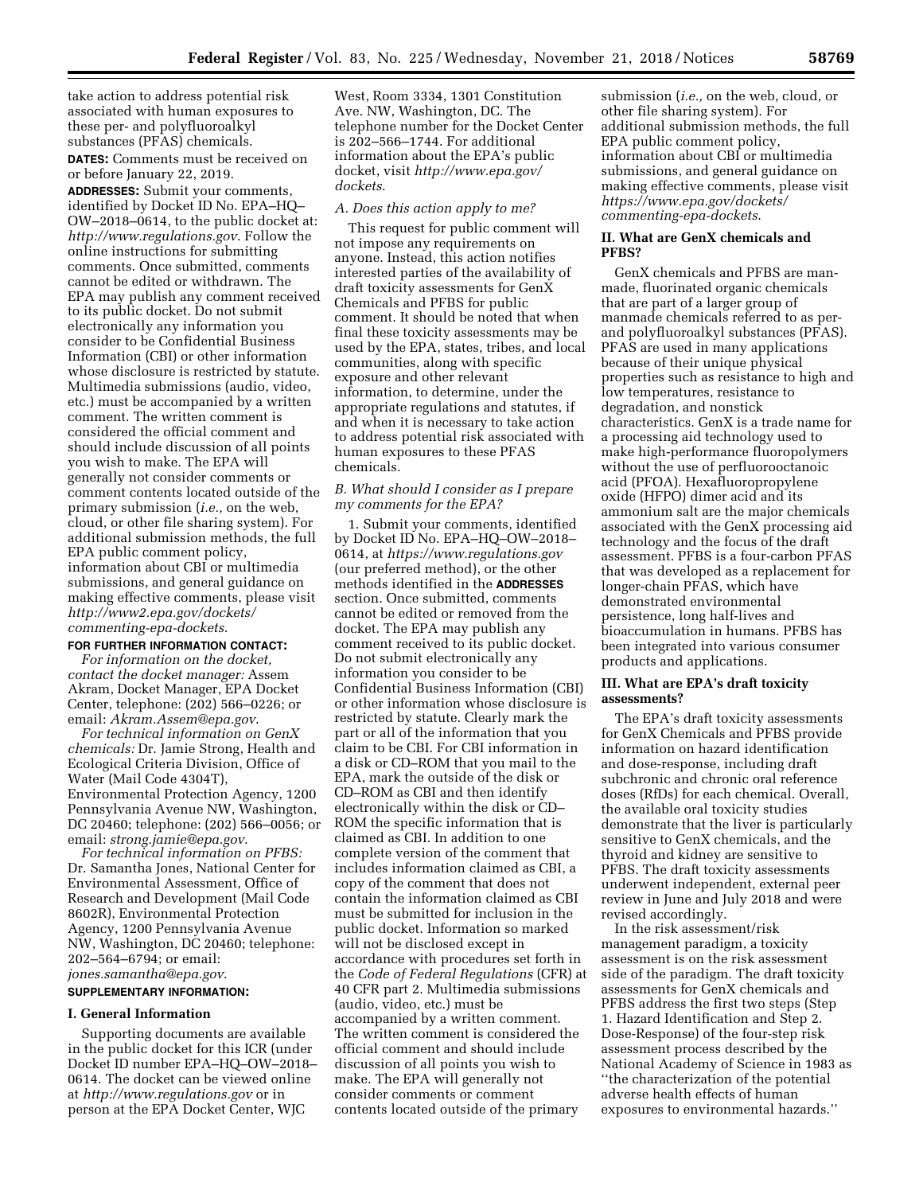take action to address potential risk associated with human exposures to these per- and polyfluoroalkyl substances (PFAS) chemicals.

**DATES:** Comments must be received on or before January 22, 2019.

**ADDRESSES:** Submit your comments, identified by Docket ID No. EPA–HQ– OW–2018–0614, to the public docket at: *<http://www.regulations.gov>*. Follow the online instructions for submitting comments. Once submitted, comments cannot be edited or withdrawn. The EPA may publish any comment received to its public docket. Do not submit electronically any information you consider to be Confidential Business Information (CBI) or other information whose disclosure is restricted by statute. Multimedia submissions (audio, video, etc.) must be accompanied by a written comment. The written comment is considered the official comment and should include discussion of all points you wish to make. The EPA will generally not consider comments or comment contents located outside of the primary submission (*i.e.,* on the web, cloud, or other file sharing system). For additional submission methods, the full EPA public comment policy, information about CBI or multimedia submissions, and general guidance on making effective comments, please visit *[http://www2.epa.gov/dockets/](http://www2.epa.gov/dockets/commenting-epa-dockets)  [commenting-epa-dockets](http://www2.epa.gov/dockets/commenting-epa-dockets)*.

# **FOR FURTHER INFORMATION CONTACT:**

*For information on the docket, contact the docket manager:* Assem Akram, Docket Manager, EPA Docket Center, telephone: (202) 566–0226; or email: *[Akram.Assem@epa.gov](mailto:Akram.Assem@epa.gov)*.

*For technical information on GenX chemicals:* Dr. Jamie Strong, Health and Ecological Criteria Division, Office of Water (Mail Code 4304T), Environmental Protection Agency, 1200 Pennsylvania Avenue NW, Washington, DC 20460; telephone: (202) 566–0056; or email: *[strong.jamie@epa.gov](mailto:strong.jamie@epa.gov)*.

*For technical information on PFBS:*  Dr. Samantha Jones, National Center for Environmental Assessment, Office of Research and Development (Mail Code 8602R), Environmental Protection Agency, 1200 Pennsylvania Avenue NW, Washington, DC 20460; telephone: 202–564–6794; or email: *[jones.samantha@epa.gov](mailto:jones.samantha@epa.gov)*.

# **SUPPLEMENTARY INFORMATION:**

#### **I. General Information**

Supporting documents are available in the public docket for this ICR (under Docket ID number EPA–HQ–OW–2018– 0614. The docket can be viewed online at *<http://www.regulations.gov>* or in person at the EPA Docket Center, WJC

West, Room 3334, 1301 Constitution Ave. NW, Washington, DC. The telephone number for the Docket Center is 202–566–1744. For additional information about the EPA's public docket, visit *[http://www.epa.gov/](http://www.epa.gov/dockets)  [dockets](http://www.epa.gov/dockets)*.

#### *A. Does this action apply to me?*

This request for public comment will not impose any requirements on anyone. Instead, this action notifies interested parties of the availability of draft toxicity assessments for GenX Chemicals and PFBS for public comment. It should be noted that when final these toxicity assessments may be used by the EPA, states, tribes, and local communities, along with specific exposure and other relevant information, to determine, under the appropriate regulations and statutes, if and when it is necessary to take action to address potential risk associated with human exposures to these PFAS chemicals.

## *B. What should I consider as I prepare my comments for the EPA?*

1. Submit your comments, identified by Docket ID No. EPA–HQ–OW–2018– 0614, at *<https://www.regulations.gov>*  (our preferred method), or the other methods identified in the **ADDRESSES** section. Once submitted, comments cannot be edited or removed from the docket. The EPA may publish any comment received to its public docket. Do not submit electronically any information you consider to be Confidential Business Information (CBI) or other information whose disclosure is restricted by statute. Clearly mark the part or all of the information that you claim to be CBI. For CBI information in a disk or CD–ROM that you mail to the EPA, mark the outside of the disk or CD–ROM as CBI and then identify electronically within the disk or CD– ROM the specific information that is claimed as CBI. In addition to one complete version of the comment that includes information claimed as CBI, a copy of the comment that does not contain the information claimed as CBI must be submitted for inclusion in the public docket. Information so marked will not be disclosed except in accordance with procedures set forth in the *Code of Federal Regulations* (CFR) at 40 CFR part 2. Multimedia submissions (audio, video, etc.) must be accompanied by a written comment. The written comment is considered the official comment and should include discussion of all points you wish to make. The EPA will generally not consider comments or comment contents located outside of the primary

submission (*i.e.,* on the web, cloud, or other file sharing system). For additional submission methods, the full EPA public comment policy, information about CBI or multimedia submissions, and general guidance on making effective comments, please visit *[https://www.epa.gov/dockets/](https://www.epa.gov/dockets/commenting-epa-dockets)  [commenting-epa-dockets](https://www.epa.gov/dockets/commenting-epa-dockets)*.

## **II. What are GenX chemicals and PFBS?**

GenX chemicals and PFBS are manmade, fluorinated organic chemicals that are part of a larger group of manmade chemicals referred to as perand polyfluoroalkyl substances (PFAS). PFAS are used in many applications because of their unique physical properties such as resistance to high and low temperatures, resistance to degradation, and nonstick characteristics. GenX is a trade name for a processing aid technology used to make high-performance fluoropolymers without the use of perfluorooctanoic acid (PFOA). Hexafluoropropylene oxide (HFPO) dimer acid and its ammonium salt are the major chemicals associated with the GenX processing aid technology and the focus of the draft assessment. PFBS is a four-carbon PFAS that was developed as a replacement for longer-chain PFAS, which have demonstrated environmental persistence, long half-lives and bioaccumulation in humans. PFBS has been integrated into various consumer products and applications.

#### **III. What are EPA's draft toxicity assessments?**

The EPA's draft toxicity assessments for GenX Chemicals and PFBS provide information on hazard identification and dose-response, including draft subchronic and chronic oral reference doses (RfDs) for each chemical. Overall, the available oral toxicity studies demonstrate that the liver is particularly sensitive to GenX chemicals, and the thyroid and kidney are sensitive to PFBS. The draft toxicity assessments underwent independent, external peer review in June and July 2018 and were revised accordingly.

In the risk assessment/risk management paradigm, a toxicity assessment is on the risk assessment side of the paradigm. The draft toxicity assessments for GenX chemicals and PFBS address the first two steps (Step 1. Hazard Identification and Step 2. Dose-Response) of the four-step risk assessment process described by the National Academy of Science in 1983 as ''the characterization of the potential adverse health effects of human exposures to environmental hazards.''